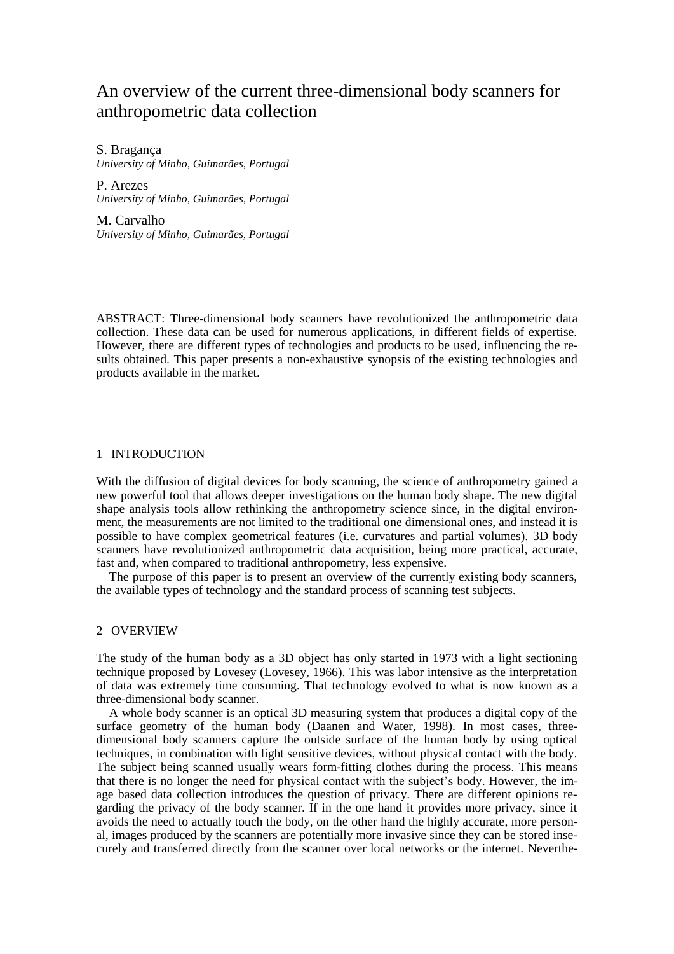# An overview of the current three-dimensional body scanners for anthropometric data collection

S. Bragança *University of Minho, Guimarães, Portugal*

P. Arezes *University of Minho, Guimarães, Portugal* 

M. Carvalho *University of Minho, Guimarães, Portugal* 

ABSTRACT: Three-dimensional body scanners have revolutionized the anthropometric data collection. These data can be used for numerous applications, in different fields of expertise. However, there are different types of technologies and products to be used, influencing the results obtained. This paper presents a non-exhaustive synopsis of the existing technologies and products available in the market.

### 1 INTRODUCTION

With the diffusion of digital devices for body scanning, the science of anthropometry gained a new powerful tool that allows deeper investigations on the human body shape. The new digital shape analysis tools allow rethinking the anthropometry science since, in the digital environment, the measurements are not limited to the traditional one dimensional ones, and instead it is possible to have complex geometrical features (i.e. curvatures and partial volumes). 3D body scanners have revolutionized anthropometric data acquisition, being more practical, accurate, fast and, when compared to traditional anthropometry, less expensive.

The purpose of this paper is to present an overview of the currently existing body scanners, the available types of technology and the standard process of scanning test subjects.

# 2 OVERVIEW

The study of the human body as a 3D object has only started in 1973 with a light sectioning technique proposed by Lovesey (Lovesey, 1966). This was labor intensive as the interpretation of data was extremely time consuming. That technology evolved to what is now known as a three-dimensional body scanner.

A whole body scanner is an optical 3D measuring system that produces a digital copy of the surface geometry of the human body (Daanen and Water, 1998). In most cases, threedimensional body scanners capture the outside surface of the human body by using optical techniques, in combination with light sensitive devices, without physical contact with the body. The subject being scanned usually wears form-fitting clothes during the process. This means that there is no longer the need for physical contact with the subject's body. However, the image based data collection introduces the question of privacy. There are different opinions regarding the privacy of the body scanner. If in the one hand it provides more privacy, since it avoids the need to actually touch the body, on the other hand the highly accurate, more personal, images produced by the scanners are potentially more invasive since they can be stored insecurely and transferred directly from the scanner over local networks or the internet. Neverthe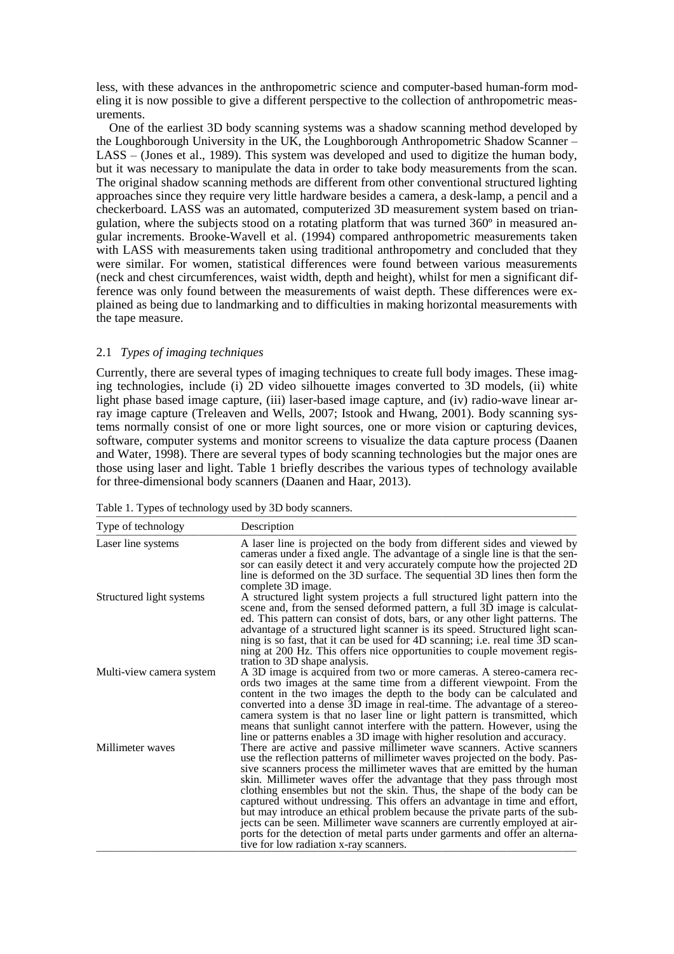less, with these advances in the anthropometric science and computer-based human-form modeling it is now possible to give a different perspective to the collection of anthropometric measurements.

One of the earliest 3D body scanning systems was a shadow scanning method developed by the Loughborough University in the UK, the Loughborough Anthropometric Shadow Scanner – LASS – (Jones et al., 1989). This system was developed and used to digitize the human body, but it was necessary to manipulate the data in order to take body measurements from the scan. The original shadow scanning methods are different from other conventional structured lighting approaches since they require very little hardware besides a camera, a desk-lamp, a pencil and a checkerboard. LASS was an automated, computerized 3D measurement system based on triangulation, where the subjects stood on a rotating platform that was turned 360º in measured angular increments. Brooke-Wavell et al. (1994) compared anthropometric measurements taken with LASS with measurements taken using traditional anthropometry and concluded that they were similar. For women, statistical differences were found between various measurements (neck and chest circumferences, waist width, depth and height), whilst for men a significant difference was only found between the measurements of waist depth. These differences were explained as being due to landmarking and to difficulties in making horizontal measurements with the tape measure.

# 2.1 *Types of imaging techniques*

Currently, there are several types of imaging techniques to create full body images. These imaging technologies, include (i) 2D video silhouette images converted to 3D models, (ii) white light phase based image capture, (iii) laser-based image capture, and (iv) radio-wave linear array image capture (Treleaven and Wells, 2007; Istook and Hwang, 2001). Body scanning systems normally consist of one or more light sources, one or more vision or capturing devices, software, computer systems and monitor screens to visualize the data capture process (Daanen and Water, 1998). There are several types of body scanning technologies but the major ones are those using laser and light. Table 1 briefly describes the various types of technology available for three-dimensional body scanners (Daanen and Haar, 2013).

| Type of technology       | Description                                                                                                                                                                                                                                                                                                                                                                                                                                                                                                                                                                                                                                                                                                                                              |
|--------------------------|----------------------------------------------------------------------------------------------------------------------------------------------------------------------------------------------------------------------------------------------------------------------------------------------------------------------------------------------------------------------------------------------------------------------------------------------------------------------------------------------------------------------------------------------------------------------------------------------------------------------------------------------------------------------------------------------------------------------------------------------------------|
| Laser line systems       | A laser line is projected on the body from different sides and viewed by<br>cameras under a fixed angle. The advantage of a single line is that the sen-<br>sor can easily detect it and very accurately compute how the projected 2D<br>line is deformed on the 3D surface. The sequential 3D lines then form the<br>complete 3D image.                                                                                                                                                                                                                                                                                                                                                                                                                 |
| Structured light systems | A structured light system projects a full structured light pattern into the<br>scene and, from the sensed deformed pattern, a full 3D image is calculat-<br>ed. This pattern can consist of dots, bars, or any other light patterns. The<br>advantage of a structured light scanner is its speed. Structured light scan-<br>ning is so fast, that it can be used for 4D scanning; i.e. real time 3D scan-<br>ning at 200 Hz. This offers nice opportunities to couple movement regis-<br>tration to 3D shape analysis.                                                                                                                                                                                                                                   |
| Multi-view camera system | A 3D image is acquired from two or more cameras. A stereo-camera rec-<br>ords two images at the same time from a different viewpoint. From the<br>content in the two images the depth to the body can be calculated and<br>converted into a dense 3D image in real-time. The advantage of a stereo-<br>camera system is that no laser line or light pattern is transmitted, which<br>means that sunlight cannot interfere with the pattern. However, using the<br>line or patterns enables a 3D image with higher resolution and accuracy.                                                                                                                                                                                                               |
| Millimeter waves         | There are active and passive millimeter wave scanners. Active scanners<br>use the reflection patterns of millimeter waves projected on the body. Pas-<br>sive scanners process the millimeter waves that are emitted by the human<br>skin. Millimeter waves offer the advantage that they pass through most<br>clothing ensembles but not the skin. Thus, the shape of the body can be<br>captured without undressing. This offers an advantage in time and effort,<br>but may introduce an ethical problem because the private parts of the sub-<br>jects can be seen. Millimeter wave scanners are currently employed at air-<br>ports for the detection of metal parts under garments and offer an alterna-<br>tive for low radiation x-ray scanners. |

Table 1. Types of technology used by 3D body scanners. \_\_\_\_\_\_\_\_\_\_\_\_\_\_\_\_\_\_\_\_\_\_\_\_\_\_\_\_\_\_\_\_\_\_\_\_\_\_\_\_\_\_\_\_\_\_\_\_\_\_\_\_\_\_\_\_\_\_\_\_\_\_\_\_\_\_\_\_\_\_\_\_\_\_\_\_\_\_\_\_\_\_\_\_\_\_\_\_\_\_\_\_\_\_\_\_\_\_\_\_\_\_\_\_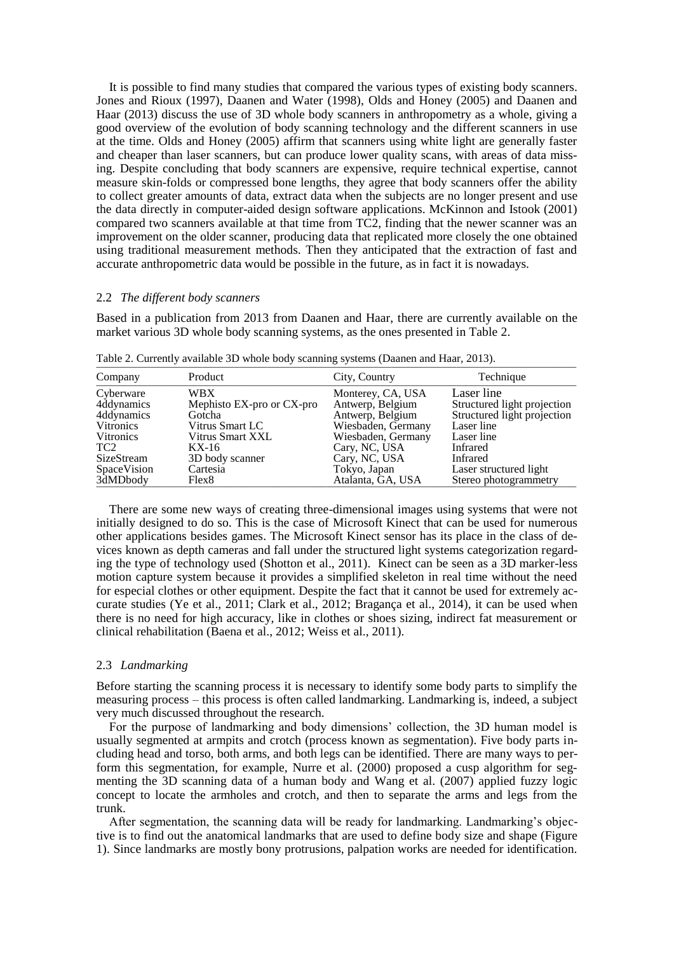It is possible to find many studies that compared the various types of existing body scanners. Jones and Rioux (1997), Daanen and Water (1998), Olds and Honey (2005) and Daanen and Haar (2013) discuss the use of 3D whole body scanners in anthropometry as a whole, giving a good overview of the evolution of body scanning technology and the different scanners in use at the time. Olds and Honey (2005) affirm that scanners using white light are generally faster and cheaper than laser scanners, but can produce lower quality scans, with areas of data missing. Despite concluding that body scanners are expensive, require technical expertise, cannot measure skin-folds or compressed bone lengths, they agree that body scanners offer the ability to collect greater amounts of data, extract data when the subjects are no longer present and use the data directly in computer-aided design software applications. McKinnon and Istook (2001) compared two scanners available at that time from TC2, finding that the newer scanner was an improvement on the older scanner, producing data that replicated more closely the one obtained using traditional measurement methods. Then they anticipated that the extraction of fast and accurate anthropometric data would be possible in the future, as in fact it is nowadays.

#### 2.2 *The different body scanners*

Based in a publication from 2013 from Daanen and Haar, there are currently available on the market various 3D whole body scanning systems, as the ones presented in Table 2.

| Company          | Product                   | City, Country      | Technique                   |
|------------------|---------------------------|--------------------|-----------------------------|
| Cyberware        | WBX                       | Monterey, CA, USA  | Laser line                  |
| 4ddynamics       | Mephisto EX-pro or CX-pro | Antwerp, Belgium   | Structured light projection |
| 4ddynamics       | Gotcha                    | Antwerp, Belgium   | Structured light projection |
| Vitronics        | Vitrus Smart LC           | Wiesbaden, Germany | Laser line                  |
| <b>Vitronics</b> | Vitrus Smart XXL          | Wiesbaden, Germany | Laser line                  |
| TC <sub>2</sub>  | KX-16                     | Cary, NC, USA      | Infrared                    |
| SizeStream       | 3D body scanner           | Cary, NC, USA      | Infrared                    |
| SpaceVision      | Cartesia                  | Tokyo, Japan       | Laser structured light      |
| 3dMDbody         | Flex8                     | Atalanta, GA, USA  | Stereo photogrammetry       |

Table 2. Currently available 3D whole body scanning systems (Daanen and Haar, 2013).

There are some new ways of creating three-dimensional images using systems that were not initially designed to do so. This is the case of Microsoft Kinect that can be used for numerous other applications besides games. The Microsoft Kinect sensor has its place in the class of devices known as depth cameras and fall under the structured light systems categorization regarding the type of technology used (Shotton et al., 2011). Kinect can be seen as a 3D marker-less motion capture system because it provides a simplified skeleton in real time without the need for especial clothes or other equipment. Despite the fact that it cannot be used for extremely accurate studies (Ye et al., 2011; Clark et al., 2012; Bragança et al., 2014), it can be used when there is no need for high accuracy, like in clothes or shoes sizing, indirect fat measurement or clinical rehabilitation (Baena et al., 2012; Weiss et al., 2011).

## 2.3 *Landmarking*

Before starting the scanning process it is necessary to identify some body parts to simplify the measuring process – this process is often called landmarking. Landmarking is, indeed, a subject very much discussed throughout the research.

For the purpose of landmarking and body dimensions' collection, the 3D human model is usually segmented at armpits and crotch (process known as segmentation). Five body parts including head and torso, both arms, and both legs can be identified. There are many ways to perform this segmentation, for example, Nurre et al. (2000) proposed a cusp algorithm for segmenting the 3D scanning data of a human body and Wang et al. (2007) applied fuzzy logic concept to locate the armholes and crotch, and then to separate the arms and legs from the trunk.

After segmentation, the scanning data will be ready for landmarking. Landmarking's objective is to find out the anatomical landmarks that are used to define body size and shape (Figure 1). Since landmarks are mostly bony protrusions, palpation works are needed for identification.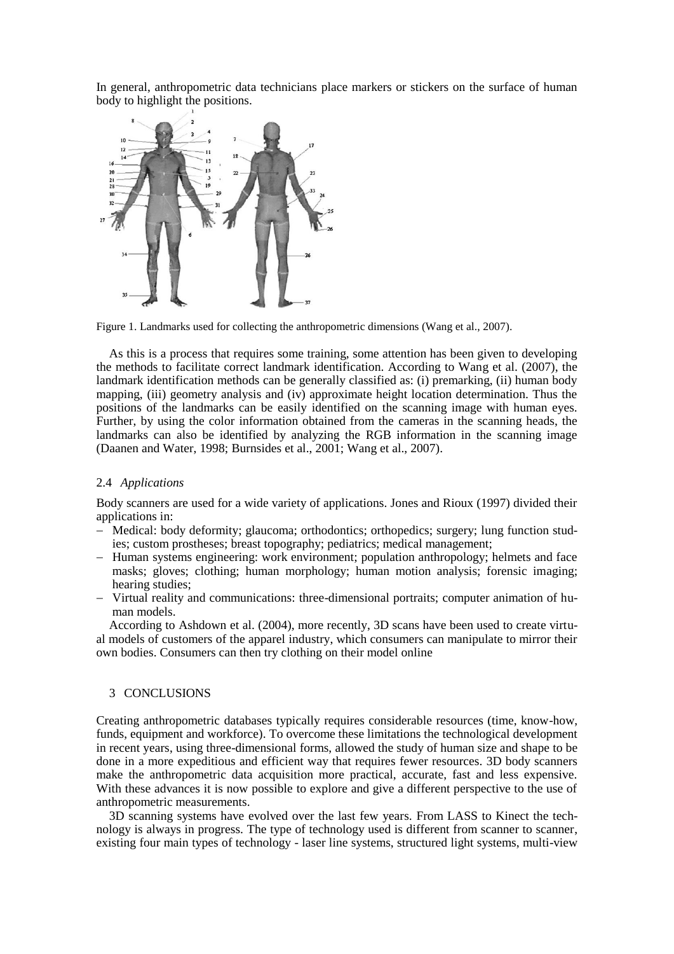In general, anthropometric data technicians place markers or stickers on the surface of human body to highlight the positions.



Figure 1. Landmarks used for collecting the anthropometric dimensions (Wang et al., 2007).

As this is a process that requires some training, some attention has been given to developing the methods to facilitate correct landmark identification. According to Wang et al. (2007), the landmark identification methods can be generally classified as: (i) premarking, (ii) human body mapping, (iii) geometry analysis and (iv) approximate height location determination. Thus the positions of the landmarks can be easily identified on the scanning image with human eyes. Further, by using the color information obtained from the cameras in the scanning heads, the landmarks can also be identified by analyzing the RGB information in the scanning image (Daanen and Water, 1998; Burnsides et al., 2001; Wang et al., 2007).

## 2.4 *Applications*

Body scanners are used for a wide variety of applications. Jones and Rioux (1997) divided their applications in:

- Medical: body deformity; glaucoma; orthodontics; orthopedics; surgery; lung function studies; custom prostheses; breast topography; pediatrics; medical management;
- Human systems engineering: work environment; population anthropology; helmets and face masks; gloves; clothing; human morphology; human motion analysis; forensic imaging; hearing studies;
- Virtual reality and communications: three-dimensional portraits; computer animation of human models.

According to Ashdown et al. (2004), more recently, 3D scans have been used to create virtual models of customers of the apparel industry, which consumers can manipulate to mirror their own bodies. Consumers can then try clothing on their model online

#### 3 CONCLUSIONS

Creating anthropometric databases typically requires considerable resources (time, know-how, funds, equipment and workforce). To overcome these limitations the technological development in recent years, using three-dimensional forms, allowed the study of human size and shape to be done in a more expeditious and efficient way that requires fewer resources. 3D body scanners make the anthropometric data acquisition more practical, accurate, fast and less expensive. With these advances it is now possible to explore and give a different perspective to the use of anthropometric measurements.

3D scanning systems have evolved over the last few years. From LASS to Kinect the technology is always in progress. The type of technology used is different from scanner to scanner, existing four main types of technology - laser line systems, structured light systems, multi-view